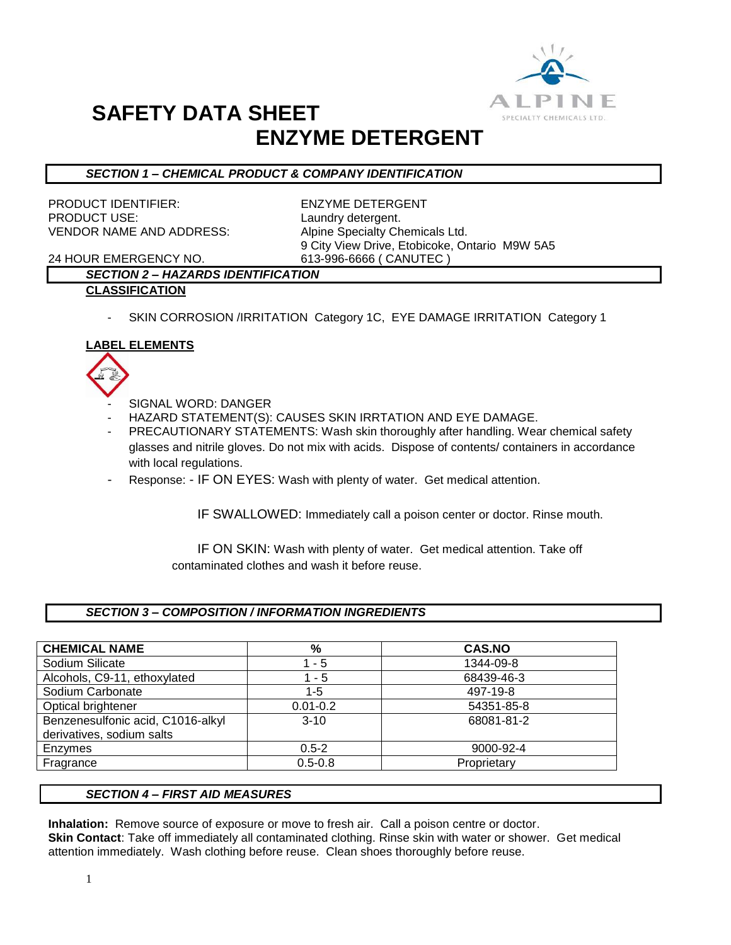

## *SECTION 1 – CHEMICAL PRODUCT & COMPANY IDENTIFICATION*

PRODUCT IDENTIFIER: ENZYME DETERGENT PRODUCT USE: Laundry detergent. VENDOR NAME AND ADDRESS: Alpine Specialty Chemicals Ltd.

9 City View Drive, Etobicoke, Ontario M9W 5A5

24 HOUR EMERGENCY NO. 613-996-6666 ( CANUTEC )

### *SECTION 2 – HAZARDS IDENTIFICATION* **CLASSIFICATION**

- SKIN CORROSION /IRRITATION Category 1C, EYE DAMAGE IRRITATION Category 1

### **LABEL ELEMENTS**



- SIGNAL WORD: DANGER
- HAZARD STATEMENT(S): CAUSES SKIN IRRTATION AND EYE DAMAGE.
- PRECAUTIONARY STATEMENTS: Wash skin thoroughly after handling. Wear chemical safety glasses and nitrile gloves. Do not mix with acids. Dispose of contents/ containers in accordance with local regulations.
- Response: IF ON EYES: Wash with plenty of water. Get medical attention.

IF SWALLOWED: Immediately call a poison center or doctor. Rinse mouth.

 IF ON SKIN: Wash with plenty of water. Get medical attention. Take off contaminated clothes and wash it before reuse.

### *SECTION 3 – COMPOSITION / INFORMATION INGREDIENTS*

| <b>CHEMICAL NAME</b>                                           | %            | <b>CAS.NO</b> |
|----------------------------------------------------------------|--------------|---------------|
| Sodium Silicate                                                | - 5          | 1344-09-8     |
| Alcohols, C9-11, ethoxylated                                   | - 5          | 68439-46-3    |
| Sodium Carbonate                                               | $1 - 5$      | 497-19-8      |
| Optical brightener                                             | $0.01 - 0.2$ | 54351-85-8    |
| Benzenesulfonic acid, C1016-alkyl<br>derivatives, sodium salts | $3 - 10$     | 68081-81-2    |
| Enzymes                                                        | $0.5 - 2$    | 9000-92-4     |
| Fragrance                                                      | $0.5 - 0.8$  | Proprietary   |

#### *SECTION 4 – FIRST AID MEASURES*

**Inhalation:** Remove source of exposure or move to fresh air. Call a poison centre or doctor. **Skin Contact**: Take off immediately all contaminated clothing. Rinse skin with water or shower. Get medical attention immediately. Wash clothing before reuse. Clean shoes thoroughly before reuse.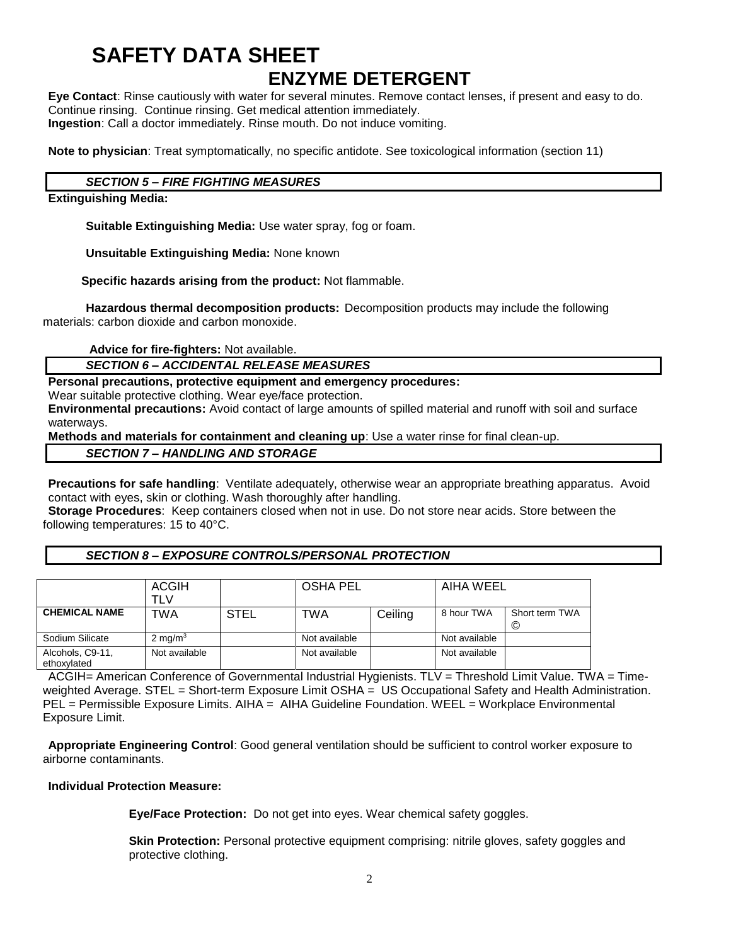**Eye Contact**: Rinse cautiously with water for several minutes. Remove contact lenses, if present and easy to do. Continue rinsing. Continue rinsing. Get medical attention immediately. **Ingestion**: Call a doctor immediately. Rinse mouth. Do not induce vomiting.

**Note to physician**: Treat symptomatically, no specific antidote. See toxicological information (section 11)

#### *SECTION 5 – FIRE FIGHTING MEASURES*

**Extinguishing Media:**

**Suitable Extinguishing Media:** Use water spray, fog or foam.

**Unsuitable Extinguishing Media:** None known

 **Specific hazards arising from the product:** Not flammable.

**Hazardous thermal decomposition products:** Decomposition products may include the following materials: carbon dioxide and carbon monoxide.

**Advice for fire-fighters:** Not available.

#### *SECTION 6 – ACCIDENTAL RELEASE MEASURES*

**Personal precautions, protective equipment and emergency procedures:**

Wear suitable protective clothing. Wear eye/face protection.

**Environmental precautions:** Avoid contact of large amounts of spilled material and runoff with soil and surface waterways.

**Methods and materials for containment and cleaning up**: Use a water rinse for final clean-up.

### *SECTION 7 – HANDLING AND STORAGE*

**Precautions for safe handling**: Ventilate adequately, otherwise wear an appropriate breathing apparatus. Avoid contact with eyes, skin or clothing. Wash thoroughly after handling.

**Storage Procedures**: Keep containers closed when not in use. Do not store near acids. Store between the following temperatures: 15 to 40°C.

#### *SECTION 8 – EXPOSURE CONTROLS/PERSONAL PROTECTION*

|                                 | <b>ACGIH</b><br>TLV |             | OSHA PEL      |         | AIHA WEEL     |                     |
|---------------------------------|---------------------|-------------|---------------|---------|---------------|---------------------|
| <b>CHEMICAL NAME</b>            | TWA                 | <b>STEL</b> | <b>TWA</b>    | Ceiling | 8 hour TWA    | Short term TWA<br>C |
| Sodium Silicate                 | 2 mg/ $m3$          |             | Not available |         | Not available |                     |
| Alcohols, C9-11,<br>ethoxylated | Not available       |             | Not available |         | Not available |                     |

ACGIH= American Conference of Governmental Industrial Hygienists. TLV = Threshold Limit Value. TWA = Timeweighted Average. STEL = Short-term Exposure Limit OSHA = US Occupational Safety and Health Administration. PEL = Permissible Exposure Limits. AIHA = AIHA Guideline Foundation. WEEL = Workplace Environmental Exposure Limit.

**Appropriate Engineering Control**: Good general ventilation should be sufficient to control worker exposure to airborne contaminants.

#### **Individual Protection Measure:**

**Eye/Face Protection:** Do not get into eyes. Wear chemical safety goggles.

**Skin Protection:** Personal protective equipment comprising: nitrile gloves, safety goggles and protective clothing.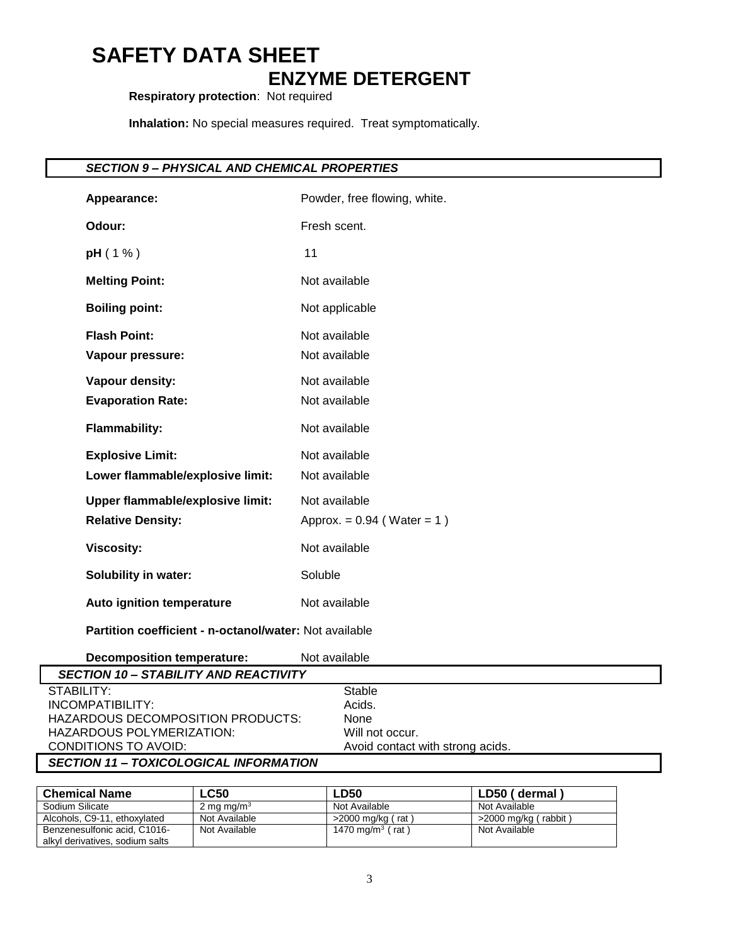**Respiratory protection**: Not required

**Inhalation:** No special measures required. Treat symptomatically.

## *SECTION 9 – PHYSICAL AND CHEMICAL PROPERTIES*

| Appearance:                                            | Powder, free flowing, white. |  |  |
|--------------------------------------------------------|------------------------------|--|--|
| Odour:                                                 | Fresh scent.                 |  |  |
| pH(1% )                                                | 11                           |  |  |
| <b>Melting Point:</b>                                  | Not available                |  |  |
| <b>Boiling point:</b>                                  | Not applicable               |  |  |
| <b>Flash Point:</b>                                    | Not available                |  |  |
| Vapour pressure:                                       | Not available                |  |  |
| Vapour density:                                        | Not available                |  |  |
| <b>Evaporation Rate:</b>                               | Not available                |  |  |
| <b>Flammability:</b>                                   | Not available                |  |  |
| <b>Explosive Limit:</b>                                | Not available                |  |  |
| Lower flammable/explosive limit:                       | Not available                |  |  |
| <b>Upper flammable/explosive limit:</b>                | Not available                |  |  |
| <b>Relative Density:</b>                               | Approx. = $0.94$ (Water = 1) |  |  |
| <b>Viscosity:</b>                                      | Not available                |  |  |
| <b>Solubility in water:</b>                            | Soluble                      |  |  |
| Auto ignition temperature                              | Not available                |  |  |
| Partition coefficient - n-octanol/water: Not available |                              |  |  |
| the contract of the contract of the contract of the    |                              |  |  |

| Decomposition temperature:                    | Not available                    |
|-----------------------------------------------|----------------------------------|
| <b>SECTION 10 - STABILITY AND REACTIVITY</b>  |                                  |
| STABILITY:                                    | Stable                           |
| INCOMPATIBILITY:                              | Acids.                           |
| HAZARDOUS DECOMPOSITION PRODUCTS:             | None                             |
| HAZARDOUS POLYMERIZATION:                     | Will not occur.                  |
| CONDITIONS TO AVOID:                          | Avoid contact with strong acids. |
| <b>SECTION 11 - TOXICOLOGICAL INFORMATION</b> |                                  |

#### *SECTION 11 – TOXICOLOGICAL INFORMATION*

| <b>Chemical Name</b>            | $\mathsf{L}$ C50 | <b>LD50</b>                  | LD50 (dermal)        |
|---------------------------------|------------------|------------------------------|----------------------|
| Sodium Silicate                 | 2 mg mg/m $3$    | Not Available                | Not Available        |
| Alcohols, C9-11, ethoxylated    | Not Available    | $>$ 2000 mg/kg (rat)         | >2000 mg/kg (rabbit) |
| Benzenesulfonic acid, C1016-    | Not Available    | 1470 mg/m <sup>3</sup> (rat) | Not Available        |
| alkyl derivatives, sodium salts |                  |                              |                      |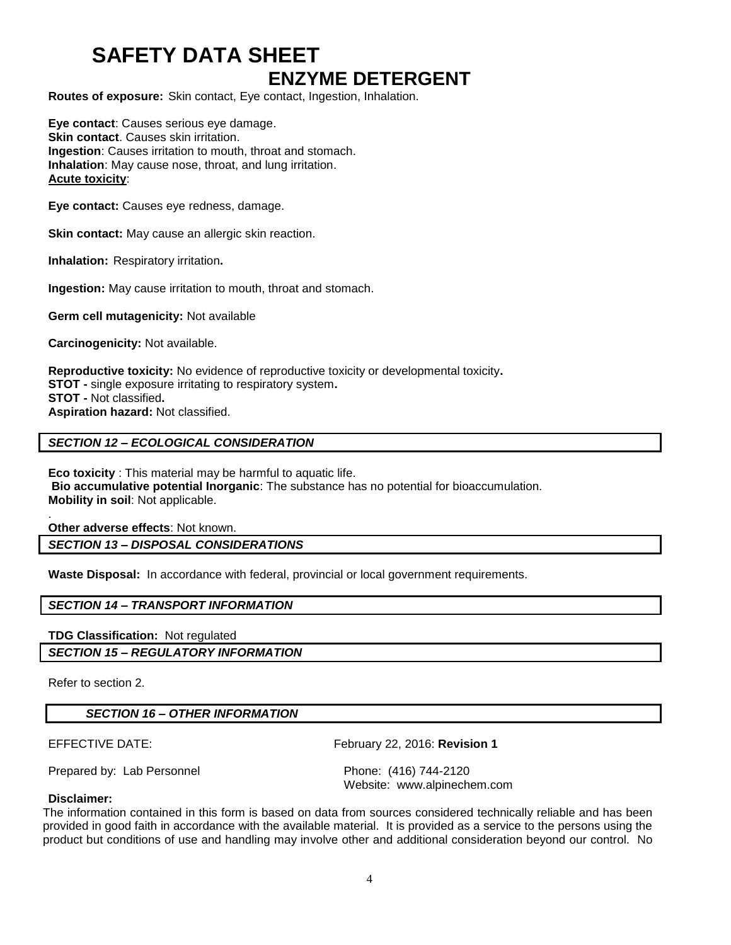**Routes of exposure:** Skin contact, Eye contact, Ingestion, Inhalation.

**Eye contact**: Causes serious eye damage. **Skin contact.** Causes skin irritation. **Ingestion**: Causes irritation to mouth, throat and stomach. **Inhalation**: May cause nose, throat, and lung irritation. **Acute toxicity**:

**Eye contact:** Causes eye redness, damage.

**Skin contact:** May cause an allergic skin reaction.

**Inhalation:** Respiratory irritation**.**

**Ingestion:** May cause irritation to mouth, throat and stomach.

**Germ cell mutagenicity:** Not available

**Carcinogenicity:** Not available.

**Reproductive toxicity:** No evidence of reproductive toxicity or developmental toxicity**. STOT -** single exposure irritating to respiratory system**. STOT -** Not classified**. Aspiration hazard:** Not classified.

#### *SECTION 12 – ECOLOGICAL CONSIDERATION*

**Eco toxicity** : This material may be harmful to aquatic life. **Bio accumulative potential Inorganic**: The substance has no potential for bioaccumulation. **Mobility in soil**: Not applicable.

. **Other adverse effects**: Not known.

*SECTION 13 – DISPOSAL CONSIDERATIONS*

**Waste Disposal:** In accordance with federal, provincial or local government requirements.

#### *SECTION 14 – TRANSPORT INFORMATION*

**TDG Classification:** Not regulated *SECTION 15 – REGULATORY INFORMATION*

Refer to section 2.

#### *SECTION 16 – OTHER INFORMATION*

EFFECTIVE DATE: February 22, 2016: **Revision 1**

Prepared by: Lab Personnel **Phone:** (416) 744-2120

Website: www.alpinechem.com

#### **Disclaimer:**

The information contained in this form is based on data from sources considered technically reliable and has been provided in good faith in accordance with the available material. It is provided as a service to the persons using the product but conditions of use and handling may involve other and additional consideration beyond our control. No